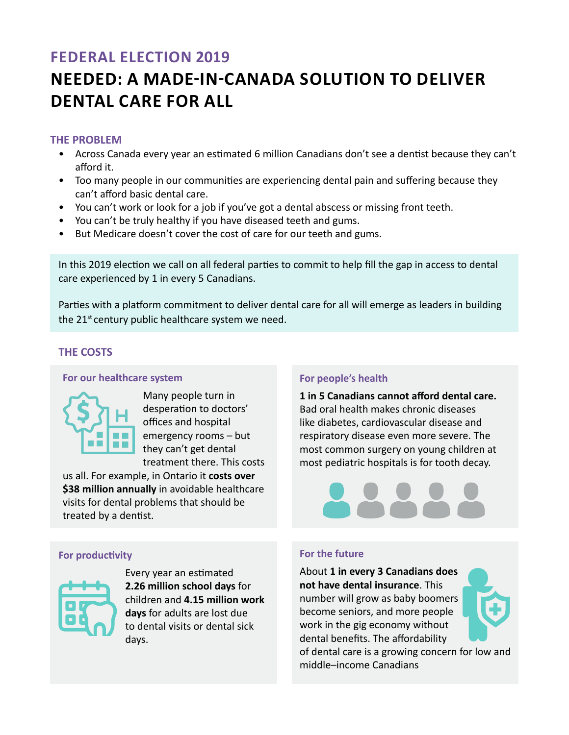# **FEDERAL Election 2019**

# **NEEDED: A Made-in-Canada Solution to Deliver Dental Care For All**

### **THE PROBLEM**

- Across Canada every year an estimated 6 million Canadians don't see a dentist because they can't afford it.
- Too many people in our communities are experiencing dental pain and suffering because they can't afford basic dental care.
- You can't work or look for a job if you've got a dental abscess or missing front teeth.
- You can't be truly healthy if you have diseased teeth and gums.
- But Medicare doesn't cover the cost of care for our teeth and gums.

In this 2019 election we call on all federal parties to commit to help fill the gap in access to dental care experienced by 1 in every 5 Canadians.

Parties with a platform commitment to deliver dental care for all will emerge as leaders in building the 21<sup>st</sup> century public healthcare system we need.

# **THE COSTS**

#### **For our healthcare system**



Many people turn in desperation to doctors' offices and hospital emergency rooms – but they can't get dental treatment there. This costs

us all. For example, in Ontario it **costs over \$38 million annually** in avoidable healthcare visits for dental problems that should be treated by a dentist.

#### **For productivity**



Every year an estimated **2.26 million school days** for children and **4.15 million work days** for adults are lost due to dental visits or dental sick days.

#### **For people's health**

**1 in 5 Canadians cannot afford dental care.**  Bad oral health makes chronic diseases like diabetes, cardiovascular disease and respiratory disease even more severe. The most common surgery on young children at most pediatric hospitals is for tooth decay.



#### **For the future**

About **1 in every 3 Canadians does not have dental insurance**. This number will grow as baby boomers become seniors, and more people work in the gig economy without dental benefits. The affordability of dental care is a growing concern for low and middle–income Canadians